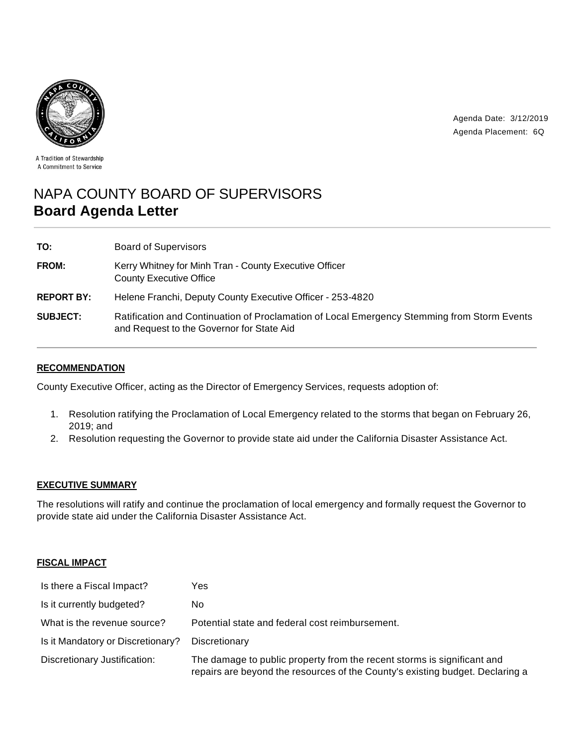

Agenda Date: 3/12/2019 Agenda Placement: 6Q

A Tradition of Stewardship A Commitment to Service

# NAPA COUNTY BOARD OF SUPERVISORS **Board Agenda Letter**

| TO:               | <b>Board of Supervisors</b>                                                                                                              |
|-------------------|------------------------------------------------------------------------------------------------------------------------------------------|
| FROM:             | Kerry Whitney for Minh Tran - County Executive Officer<br><b>County Executive Office</b>                                                 |
| <b>REPORT BY:</b> | Helene Franchi, Deputy County Executive Officer - 253-4820                                                                               |
| <b>SUBJECT:</b>   | Ratification and Continuation of Proclamation of Local Emergency Stemming from Storm Events<br>and Request to the Governor for State Aid |

## **RECOMMENDATION**

County Executive Officer, acting as the Director of Emergency Services, requests adoption of:

- 1. Resolution ratifying the Proclamation of Local Emergency related to the storms that began on February 26, 2019; and
- 2. Resolution requesting the Governor to provide state aid under the California Disaster Assistance Act.

## **EXECUTIVE SUMMARY**

The resolutions will ratify and continue the proclamation of local emergency and formally request the Governor to provide state aid under the California Disaster Assistance Act.

## **FISCAL IMPACT**

| Is there a Fiscal Impact?         | Yes                                                                                                                                                      |
|-----------------------------------|----------------------------------------------------------------------------------------------------------------------------------------------------------|
| Is it currently budgeted?         | No.                                                                                                                                                      |
| What is the revenue source?       | Potential state and federal cost reimbursement.                                                                                                          |
| Is it Mandatory or Discretionary? | Discretionary                                                                                                                                            |
| Discretionary Justification:      | The damage to public property from the recent storms is significant and<br>repairs are beyond the resources of the County's existing budget. Declaring a |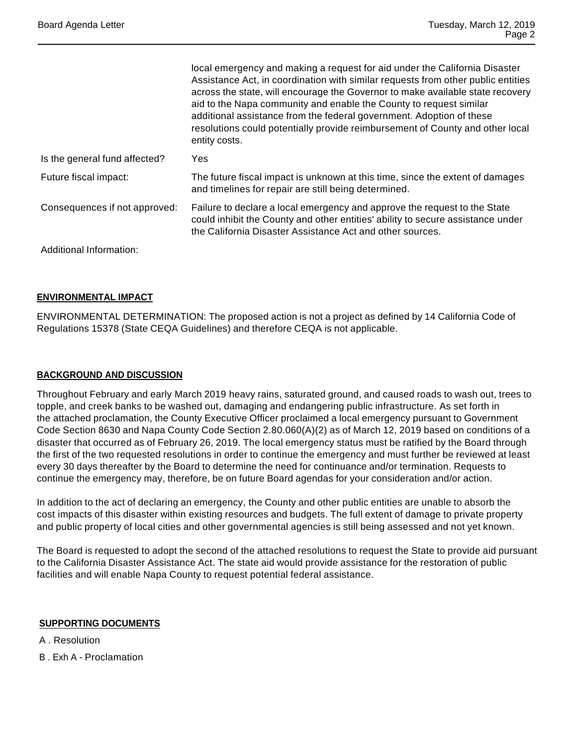|                               | local emergency and making a request for aid under the California Disaster<br>Assistance Act, in coordination with similar requests from other public entities<br>across the state, will encourage the Governor to make available state recovery<br>aid to the Napa community and enable the County to request similar<br>additional assistance from the federal government. Adoption of these<br>resolutions could potentially provide reimbursement of County and other local<br>entity costs. |
|-------------------------------|--------------------------------------------------------------------------------------------------------------------------------------------------------------------------------------------------------------------------------------------------------------------------------------------------------------------------------------------------------------------------------------------------------------------------------------------------------------------------------------------------|
| Is the general fund affected? | Yes                                                                                                                                                                                                                                                                                                                                                                                                                                                                                              |
| Future fiscal impact:         | The future fiscal impact is unknown at this time, since the extent of damages<br>and timelines for repair are still being determined.                                                                                                                                                                                                                                                                                                                                                            |
| Consequences if not approved: | Failure to declare a local emergency and approve the request to the State<br>could inhibit the County and other entities' ability to secure assistance under<br>the California Disaster Assistance Act and other sources.                                                                                                                                                                                                                                                                        |
| Additional Information:       |                                                                                                                                                                                                                                                                                                                                                                                                                                                                                                  |

## **ENVIRONMENTAL IMPACT**

ENVIRONMENTAL DETERMINATION: The proposed action is not a project as defined by 14 California Code of Regulations 15378 (State CEQA Guidelines) and therefore CEQA is not applicable.

#### **BACKGROUND AND DISCUSSION**

Throughout February and early March 2019 heavy rains, saturated ground, and caused roads to wash out, trees to topple, and creek banks to be washed out, damaging and endangering public infrastructure. As set forth in the attached proclamation, the County Executive Officer proclaimed a local emergency pursuant to Government Code Section 8630 and Napa County Code Section 2.80.060(A)(2) as of March 12, 2019 based on conditions of a disaster that occurred as of February 26, 2019. The local emergency status must be ratified by the Board through the first of the two requested resolutions in order to continue the emergency and must further be reviewed at least every 30 days thereafter by the Board to determine the need for continuance and/or termination. Requests to continue the emergency may, therefore, be on future Board agendas for your consideration and/or action.

In addition to the act of declaring an emergency, the County and other public entities are unable to absorb the cost impacts of this disaster within existing resources and budgets. The full extent of damage to private property and public property of local cities and other governmental agencies is still being assessed and not yet known.

The Board is requested to adopt the second of the attached resolutions to request the State to provide aid pursuant to the California Disaster Assistance Act. The state aid would provide assistance for the restoration of public facilities and will enable Napa County to request potential federal assistance.

#### **SUPPORTING DOCUMENTS**

A . Resolution

B . Exh A - Proclamation